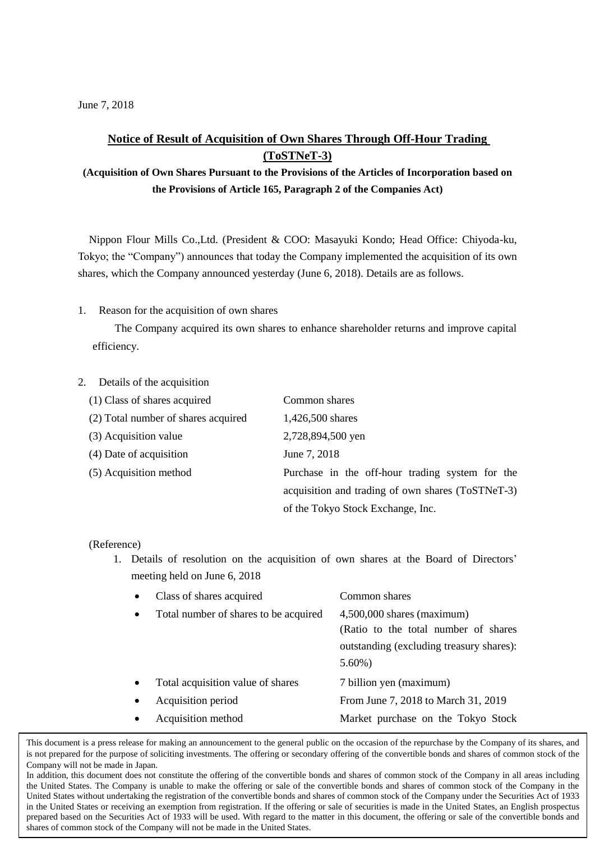## **Notice of Result of Acquisition of Own Shares Through Off-Hour Trading (ToSTNeT-3)**

**(Acquisition of Own Shares Pursuant to the Provisions of the Articles of Incorporation based on the Provisions of Article 165, Paragraph 2 of the Companies Act)**

Nippon Flour Mills Co.,Ltd. (President & COO: Masayuki Kondo; Head Office: Chiyoda-ku, Tokyo; the "Company") announces that today the Company implemented the acquisition of its own shares, which the Company announced yesterday (June 6, 2018). Details are as follows.

1. Reason for the acquisition of own shares

The Company acquired its own shares to enhance shareholder returns and improve capital efficiency.

## 2. Details of the acquisition

| (1) Class of shares acquired        | Common shares                                     |  |
|-------------------------------------|---------------------------------------------------|--|
| (2) Total number of shares acquired | 1,426,500 shares                                  |  |
| (3) Acquisition value               | 2,728,894,500 yen                                 |  |
| (4) Date of acquisition             | June 7, 2018                                      |  |
| (5) Acquisition method              | Purchase in the off-hour trading system for the   |  |
|                                     | acquisition and trading of own shares (ToSTNeT-3) |  |
|                                     | of the Tokyo Stock Exchange, Inc.                 |  |

(Reference)

1. Details of resolution on the acquisition of own shares at the Board of Directors' meeting held on June 6, 2018

|           | Class of shares acquired              | Common shares                                                                                                                 |
|-----------|---------------------------------------|-------------------------------------------------------------------------------------------------------------------------------|
| $\bullet$ | Total number of shares to be acquired | $4,500,000$ shares (maximum)<br>(Ratio to the total number of shares<br>outstanding (excluding treasury shares):<br>$5.60\%)$ |
| $\bullet$ | Total acquisition value of shares     | 7 billion yen (maximum)                                                                                                       |
|           | Acquisition period                    | From June 7, 2018 to March 31, 2019                                                                                           |
|           | Acquisition method                    | Market purchase on the Tokyo Stock                                                                                            |

This document is a press release for making an announcement to the general public on the occasion of the repurchase by the Company of its shares, and is not prepared for the purpose of soliciting investments. The offering or secondary offering of the convertible bonds and shares of common stock of the Company will not be made in Japan.

In addition, this document does not constitute the offering of the convertible bonds and shares of common stock of the Company in all areas including the United States. The Company is unable to make the offering or sale of the convertible bonds and shares of common stock of the Company in the United States without undertaking the registration of the convertible bonds and shares of common stock of the Company under the Securities Act of 1933 in the United States or receiving an exemption from registration. If the offering or sale of securities is made in the United States, an English prospectus prepared based on the Securities Act of 1933 will be used. With regard to the matter in this document, the offering or sale of the convertible bonds and shares of common stock of the Company will not be made in the United States.